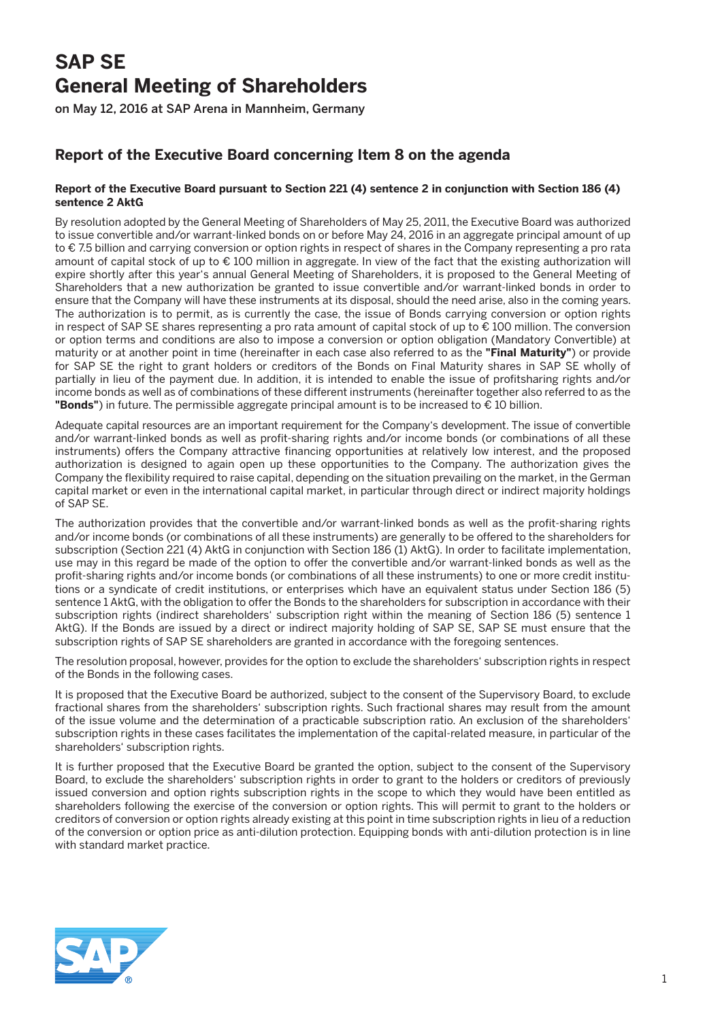## **SAP SE General Meeting of Shareholders**

on May 12, 2016 at SAP Arena in Mannheim, Germany

## **Report of the Executive Board concerning Item 8 on the agenda**

## **Report of the Executive Board pursuant to Section 221 (4) sentence 2 in conjunction with Section 186 (4) sentence 2 AktG**

By resolution adopted by the General Meeting of Shareholders of May 25, 2011, the Executive Board was authorized to issue convertible and/or warrant-linked bonds on or before May 24, 2016 in an aggregate principal amount of up to € 7.5 billion and carrying conversion or option rights in respect of shares in the Company representing a pro rata amount of capital stock of up to € 100 million in aggregate. In view of the fact that the existing authorization will expire shortly after this year's annual General Meeting of Shareholders, it is proposed to the General Meeting of Shareholders that a new authorization be granted to issue convertible and/or warrant-linked bonds in order to ensure that the Company will have these instruments at its disposal, should the need arise, also in the coming years. The authorization is to permit, as is currently the case, the issue of Bonds carrying conversion or option rights in respect of SAP SE shares representing a pro rata amount of capital stock of up to € 100 million. The conversion or option terms and conditions are also to impose a conversion or option obligation (Mandatory Convertible) at maturity or at another point in time (hereinafter in each case also referred to as the **"Final Maturity"**) or provide for SAP SE the right to grant holders or creditors of the Bonds on Final Maturity shares in SAP SE wholly of partially in lieu of the payment due. In addition, it is intended to enable the issue of profitsharing rights and/or income bonds as well as of combinations of these different instruments (hereinafter together also referred to as the **"Bonds"**) in future. The permissible aggregate principal amount is to be increased to € 10 billion.

Adequate capital resources are an important requirement for the Company's development. The issue of convertible and/or warrant-linked bonds as well as profit-sharing rights and/or income bonds (or combinations of all these instruments) offers the Company attractive financing opportunities at relatively low interest, and the proposed authorization is designed to again open up these opportunities to the Company. The authorization gives the Company the flexibility required to raise capital, depending on the situation prevailing on the market, in the German capital market or even in the international capital market, in particular through direct or indirect majority holdings of SAP SE.

The authorization provides that the convertible and/or warrant-linked bonds as well as the profit-sharing rights and/or income bonds (or combinations of all these instruments) are generally to be offered to the shareholders for subscription (Section 221 (4) AktG in conjunction with Section 186 (1) AktG). In order to facilitate implementation, use may in this regard be made of the option to offer the convertible and/or warrant-linked bonds as well as the profit-sharing rights and/or income bonds (or combinations of all these instruments) to one or more credit institutions or a syndicate of credit institutions, or enterprises which have an equivalent status under Section 186 (5) sentence 1 AktG, with the obligation to offer the Bonds to the shareholders for subscription in accordance with their subscription rights (indirect shareholders' subscription right within the meaning of Section 186 (5) sentence 1 AktG). If the Bonds are issued by a direct or indirect majority holding of SAP SE, SAP SE must ensure that the subscription rights of SAP SE shareholders are granted in accordance with the foregoing sentences.

The resolution proposal, however, provides for the option to exclude the shareholders' subscription rights in respect of the Bonds in the following cases.

It is proposed that the Executive Board be authorized, subject to the consent of the Supervisory Board, to exclude fractional shares from the shareholders' subscription rights. Such fractional shares may result from the amount of the issue volume and the determination of a practicable subscription ratio. An exclusion of the shareholders' subscription rights in these cases facilitates the implementation of the capital-related measure, in particular of the shareholders' subscription rights.

It is further proposed that the Executive Board be granted the option, subject to the consent of the Supervisory Board, to exclude the shareholders' subscription rights in order to grant to the holders or creditors of previously issued conversion and option rights subscription rights in the scope to which they would have been entitled as shareholders following the exercise of the conversion or option rights. This will permit to grant to the holders or creditors of conversion or option rights already existing at this point in time subscription rights in lieu of a reduction of the conversion or option price as anti-dilution protection. Equipping bonds with anti-dilution protection is in line with standard market practice.

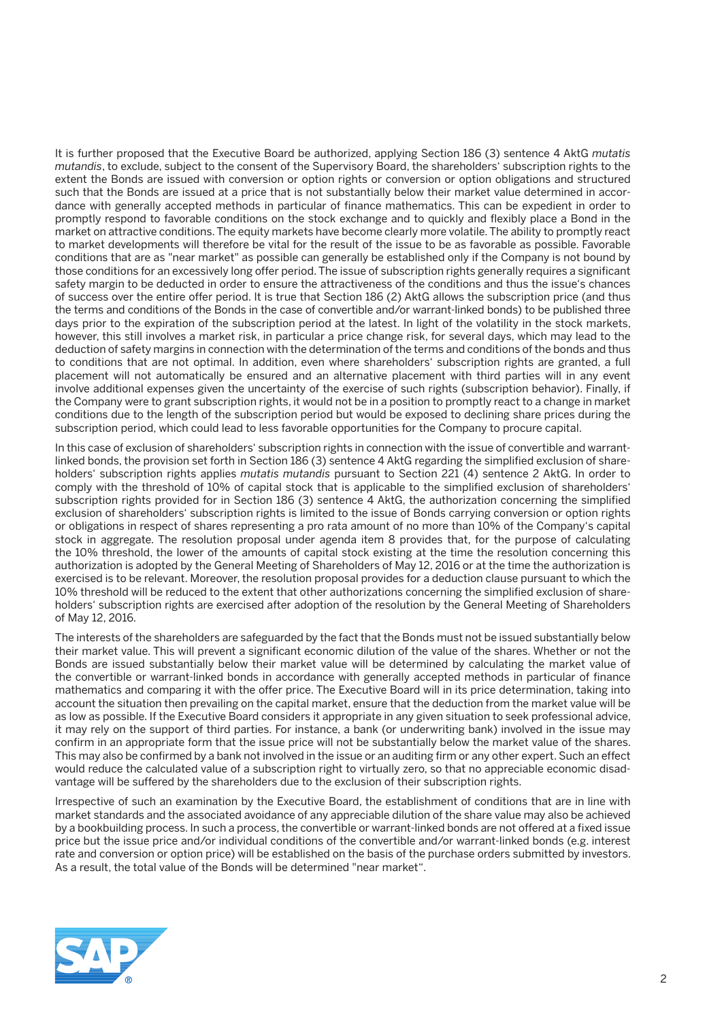It is further proposed that the Executive Board be authorized, applying Section 186 (3) sentence 4 AktG *mutatis mutandis*, to exclude, subject to the consent of the Supervisory Board, the shareholders' subscription rights to the extent the Bonds are issued with conversion or option rights or conversion or option obligations and structured such that the Bonds are issued at a price that is not substantially below their market value determined in accordance with generally accepted methods in particular of finance mathematics. This can be expedient in order to promptly respond to favorable conditions on the stock exchange and to quickly and flexibly place a Bond in the market on attractive conditions. The equity markets have become clearly more volatile. The ability to promptly react to market developments will therefore be vital for the result of the issue to be as favorable as possible. Favorable conditions that are as "near market" as possible can generally be established only if the Company is not bound by those conditions for an excessively long offer period. The issue of subscription rights generally requires a significant safety margin to be deducted in order to ensure the attractiveness of the conditions and thus the issue's chances of success over the entire offer period. It is true that Section 186 (2) AktG allows the subscription price (and thus the terms and conditions of the Bonds in the case of convertible and/or warrant-linked bonds) to be published three days prior to the expiration of the subscription period at the latest. In light of the volatility in the stock markets, however, this still involves a market risk, in particular a price change risk, for several days, which may lead to the deduction of safety margins in connection with the determination of the terms and conditions of the bonds and thus to conditions that are not optimal. In addition, even where shareholders' subscription rights are granted, a full placement will not automatically be ensured and an alternative placement with third parties will in any event involve additional expenses given the uncertainty of the exercise of such rights (subscription behavior). Finally, if the Company were to grant subscription rights, it would not be in a position to promptly react to a change in market conditions due to the length of the subscription period but would be exposed to declining share prices during the subscription period, which could lead to less favorable opportunities for the Company to procure capital.

In this case of exclusion of shareholders' subscription rights in connection with the issue of convertible and warrantlinked bonds, the provision set forth in Section 186 (3) sentence 4 AktG regarding the simplified exclusion of shareholders' subscription rights applies *mutatis mutandis* pursuant to Section 221 (4) sentence 2 AktG. In order to comply with the threshold of 10% of capital stock that is applicable to the simplified exclusion of shareholders' subscription rights provided for in Section 186 (3) sentence 4 AktG, the authorization concerning the simplified exclusion of shareholders' subscription rights is limited to the issue of Bonds carrying conversion or option rights or obligations in respect of shares representing a pro rata amount of no more than 10% of the Company's capital stock in aggregate. The resolution proposal under agenda item 8 provides that, for the purpose of calculating the 10% threshold, the lower of the amounts of capital stock existing at the time the resolution concerning this authorization is adopted by the General Meeting of Shareholders of May 12, 2016 or at the time the authorization is exercised is to be relevant. Moreover, the resolution proposal provides for a deduction clause pursuant to which the 10% threshold will be reduced to the extent that other authorizations concerning the simplified exclusion of shareholders' subscription rights are exercised after adoption of the resolution by the General Meeting of Shareholders of May 12, 2016.

The interests of the shareholders are safeguarded by the fact that the Bonds must not be issued substantially below their market value. This will prevent a significant economic dilution of the value of the shares. Whether or not the Bonds are issued substantially below their market value will be determined by calculating the market value of the convertible or warrant-linked bonds in accordance with generally accepted methods in particular of finance mathematics and comparing it with the offer price. The Executive Board will in its price determination, taking into account the situation then prevailing on the capital market, ensure that the deduction from the market value will be as low as possible. If the Executive Board considers it appropriate in any given situation to seek professional advice, it may rely on the support of third parties. For instance, a bank (or underwriting bank) involved in the issue may confirm in an appropriate form that the issue price will not be substantially below the market value of the shares. This may also be confirmed by a bank not involved in the issue or an auditing firm or any other expert. Such an effect would reduce the calculated value of a subscription right to virtually zero, so that no appreciable economic disadvantage will be suffered by the shareholders due to the exclusion of their subscription rights.

Irrespective of such an examination by the Executive Board, the establishment of conditions that are in line with market standards and the associated avoidance of any appreciable dilution of the share value may also be achieved by a bookbuilding process. In such a process, the convertible or warrant-linked bonds are not offered at a fixed issue price but the issue price and/or individual conditions of the convertible and/or warrant-linked bonds (e.g. interest rate and conversion or option price) will be established on the basis of the purchase orders submitted by investors. As a result, the total value of the Bonds will be determined "near market".

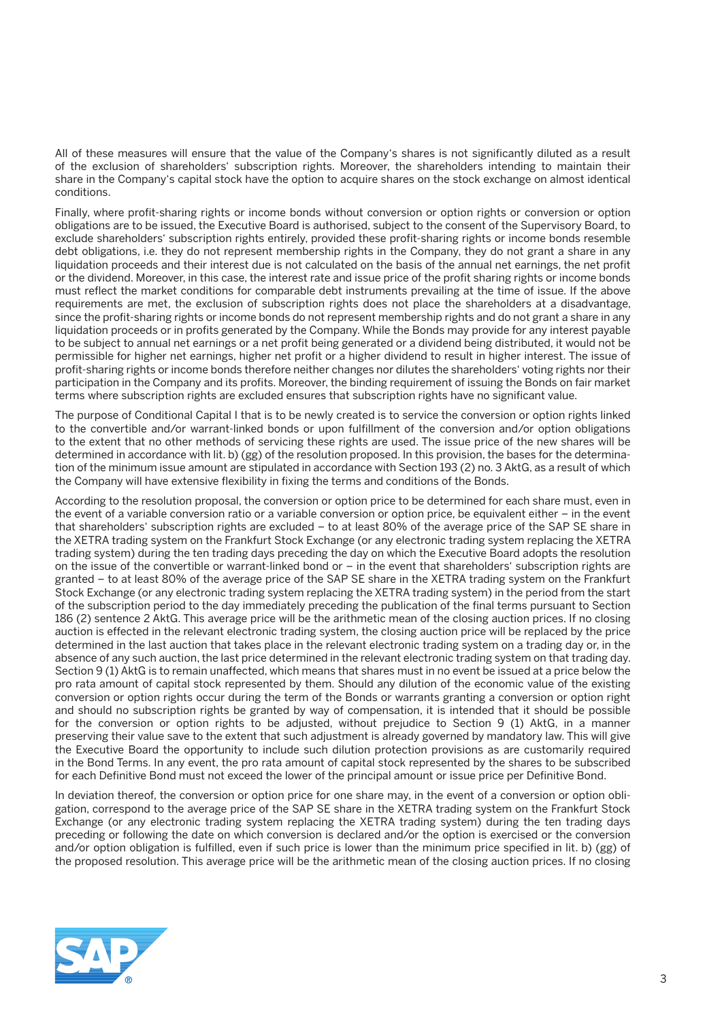All of these measures will ensure that the value of the Company's shares is not significantly diluted as a result of the exclusion of shareholders' subscription rights. Moreover, the shareholders intending to maintain their share in the Company's capital stock have the option to acquire shares on the stock exchange on almost identical conditions.

Finally, where profit-sharing rights or income bonds without conversion or option rights or conversion or option obligations are to be issued, the Executive Board is authorised, subject to the consent of the Supervisory Board, to exclude shareholders' subscription rights entirely, provided these profit-sharing rights or income bonds resemble debt obligations, i.e. they do not represent membership rights in the Company, they do not grant a share in any liquidation proceeds and their interest due is not calculated on the basis of the annual net earnings, the net profit or the dividend. Moreover, in this case, the interest rate and issue price of the profit sharing rights or income bonds must reflect the market conditions for comparable debt instruments prevailing at the time of issue. If the above requirements are met, the exclusion of subscription rights does not place the shareholders at a disadvantage, since the profit-sharing rights or income bonds do not represent membership rights and do not grant a share in any liquidation proceeds or in profits generated by the Company. While the Bonds may provide for any interest payable to be subject to annual net earnings or a net profit being generated or a dividend being distributed, it would not be permissible for higher net earnings, higher net profit or a higher dividend to result in higher interest. The issue of profit-sharing rights or income bonds therefore neither changes nor dilutes the shareholders' voting rights nor their participation in the Company and its profits. Moreover, the binding requirement of issuing the Bonds on fair market terms where subscription rights are excluded ensures that subscription rights have no significant value.

The purpose of Conditional Capital I that is to be newly created is to service the conversion or option rights linked to the convertible and/or warrant-linked bonds or upon fulfillment of the conversion and/or option obligations to the extent that no other methods of servicing these rights are used. The issue price of the new shares will be determined in accordance with lit. b) (gg) of the resolution proposed. In this provision, the bases for the determination of the minimum issue amount are stipulated in accordance with Section 193 (2) no. 3 AktG, as a result of which the Company will have extensive flexibility in fixing the terms and conditions of the Bonds.

According to the resolution proposal, the conversion or option price to be determined for each share must, even in the event of a variable conversion ratio or a variable conversion or option price, be equivalent either – in the event that shareholders' subscription rights are excluded – to at least 80% of the average price of the SAP SE share in the XETRA trading system on the Frankfurt Stock Exchange (or any electronic trading system replacing the XETRA trading system) during the ten trading days preceding the day on which the Executive Board adopts the resolution on the issue of the convertible or warrant-linked bond or – in the event that shareholders' subscription rights are granted – to at least 80% of the average price of the SAP SE share in the XETRA trading system on the Frankfurt Stock Exchange (or any electronic trading system replacing the XETRA trading system) in the period from the start of the subscription period to the day immediately preceding the publication of the final terms pursuant to Section 186 (2) sentence 2 AktG. This average price will be the arithmetic mean of the closing auction prices. If no closing auction is effected in the relevant electronic trading system, the closing auction price will be replaced by the price determined in the last auction that takes place in the relevant electronic trading system on a trading day or, in the absence of any such auction, the last price determined in the relevant electronic trading system on that trading day. Section 9 (1) AktG is to remain unaffected, which means that shares must in no event be issued at a price below the pro rata amount of capital stock represented by them. Should any dilution of the economic value of the existing conversion or option rights occur during the term of the Bonds or warrants granting a conversion or option right and should no subscription rights be granted by way of compensation, it is intended that it should be possible for the conversion or option rights to be adjusted, without prejudice to Section 9 (1) AktG, in a manner preserving their value save to the extent that such adjustment is already governed by mandatory law. This will give the Executive Board the opportunity to include such dilution protection provisions as are customarily required in the Bond Terms. In any event, the pro rata amount of capital stock represented by the shares to be subscribed for each Definitive Bond must not exceed the lower of the principal amount or issue price per Definitive Bond.

In deviation thereof, the conversion or option price for one share may, in the event of a conversion or option obligation, correspond to the average price of the SAP SE share in the XETRA trading system on the Frankfurt Stock Exchange (or any electronic trading system replacing the XETRA trading system) during the ten trading days preceding or following the date on which conversion is declared and/or the option is exercised or the conversion and/or option obligation is fulfilled, even if such price is lower than the minimum price specified in lit. b) (gg) of the proposed resolution. This average price will be the arithmetic mean of the closing auction prices. If no closing